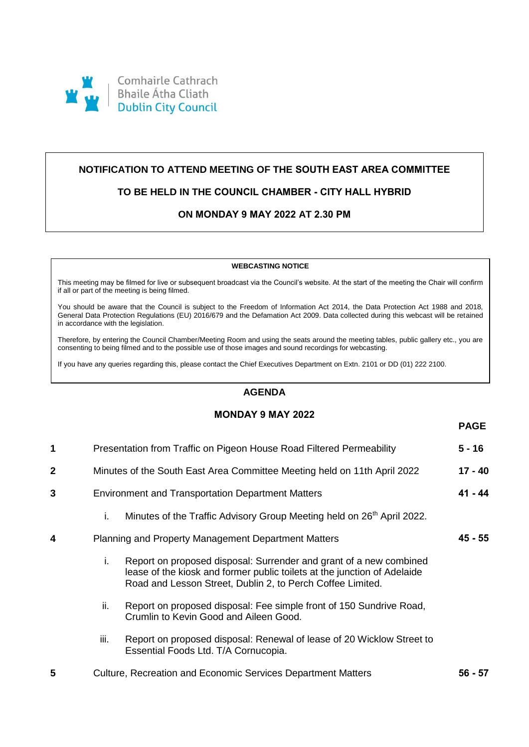

# **NOTIFICATION TO ATTEND MEETING OF THE SOUTH EAST AREA COMMITTEE**

# **TO BE HELD IN THE COUNCIL CHAMBER - CITY HALL HYBRID**

# **ON MONDAY 9 MAY 2022 AT 2.30 PM**

#### **WEBCASTING NOTICE**

This meeting may be filmed for live or subsequent broadcast via the Council's website. At the start of the meeting the Chair will confirm if all or part of the meeting is being filmed.

You should be aware that the Council is subject to the Freedom of Information Act 2014, the Data Protection Act 1988 and 2018, General Data Protection Regulations (EU) 2016/679 and the Defamation Act 2009. Data collected during this webcast will be retained in accordance with the legislation.

Therefore, by entering the Council Chamber/Meeting Room and using the seats around the meeting tables, public gallery etc., you are consenting to being filmed and to the possible use of those images and sound recordings for webcasting.

If you have any queries regarding this, please contact the Chief Executives Department on Extn. 2101 or DD (01) 222 2100.

### **AGENDA**

### **MONDAY 9 MAY 2022**

**PAGE**

| 1            | Presentation from Traffic on Pigeon House Road Filtered Permeability     |                                                                                                                                                                                                              | 5 - 16    |
|--------------|--------------------------------------------------------------------------|--------------------------------------------------------------------------------------------------------------------------------------------------------------------------------------------------------------|-----------|
| $\mathbf{2}$ | Minutes of the South East Area Committee Meeting held on 11th April 2022 |                                                                                                                                                                                                              | $17 - 40$ |
| 3            | <b>Environment and Transportation Department Matters</b>                 |                                                                                                                                                                                                              | 41 - 44   |
|              | i.                                                                       | Minutes of the Traffic Advisory Group Meeting held on 26 <sup>th</sup> April 2022.                                                                                                                           |           |
| 4            | <b>Planning and Property Management Department Matters</b>               |                                                                                                                                                                                                              | 45 - 55   |
|              | i.                                                                       | Report on proposed disposal: Surrender and grant of a new combined<br>lease of the kiosk and former public toilets at the junction of Adelaide<br>Road and Lesson Street, Dublin 2, to Perch Coffee Limited. |           |
|              | ii.                                                                      | Report on proposed disposal: Fee simple front of 150 Sundrive Road,<br>Crumlin to Kevin Good and Aileen Good.                                                                                                |           |
|              | iii.                                                                     | Report on proposed disposal: Renewal of lease of 20 Wicklow Street to<br>Essential Foods Ltd. T/A Cornucopia.                                                                                                |           |
| 5            | <b>Culture, Recreation and Economic Services Department Matters</b>      |                                                                                                                                                                                                              | 56 - 57   |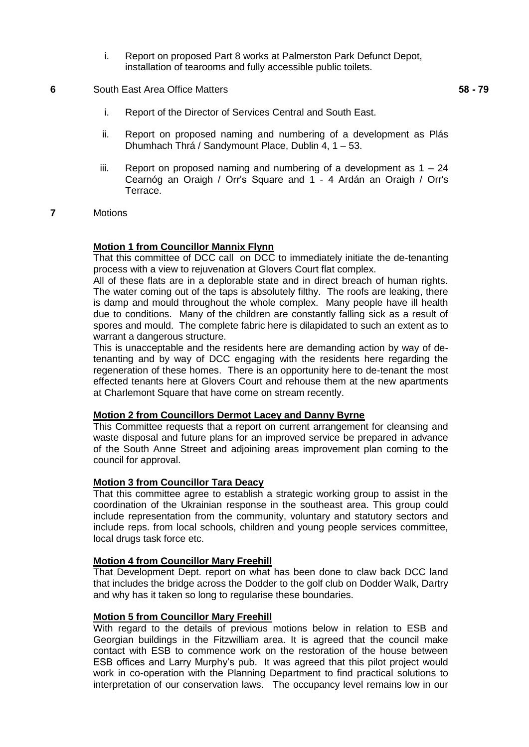- i. Report on proposed Part 8 works at Palmerston Park Defunct Depot, installation of tearooms and fully accessible public toilets.
- **6** South East Area Office Matters

- i. Report of the Director of Services Central and South East.
- ii. Report on proposed naming and numbering of a development as Plás Dhumhach Thrá / Sandymount Place, Dublin 4, 1 – 53.
- iii. Report on proposed naming and numbering of a development as  $1 24$ Cearnóg an Oraigh / Orr's Square and 1 - 4 Ardán an Oraigh / Orr's Terrace.
- **7** Motions

#### **Motion 1 from Councillor Mannix Flynn**

That this committee of DCC call on DCC to immediately initiate the de-tenanting process with a view to rejuvenation at Glovers Court flat complex.

All of these flats are in a deplorable state and in direct breach of human rights. The water coming out of the taps is absolutely filthy. The roofs are leaking, there is damp and mould throughout the whole complex. Many people have ill health due to conditions. Many of the children are constantly falling sick as a result of spores and mould. The complete fabric here is dilapidated to such an extent as to warrant a dangerous structure.

This is unacceptable and the residents here are demanding action by way of detenanting and by way of DCC engaging with the residents here regarding the regeneration of these homes. There is an opportunity here to de-tenant the most effected tenants here at Glovers Court and rehouse them at the new apartments at Charlemont Square that have come on stream recently.

#### **Motion 2 from Councillors Dermot Lacey and Danny Byrne**

This Committee requests that a report on current arrangement for cleansing and waste disposal and future plans for an improved service be prepared in advance of the South Anne Street and adjoining areas improvement plan coming to the council for approval.

### **Motion 3 from Councillor Tara Deacy**

That this committee agree to establish a strategic working group to assist in the coordination of the Ukrainian response in the southeast area. This group could include representation from the community, voluntary and statutory sectors and include reps. from local schools, children and young people services committee, local drugs task force etc.

### **Motion 4 from Councillor Mary Freehill**

That Development Dept. report on what has been done to claw back DCC land that includes the bridge across the Dodder to the golf club on Dodder Walk, Dartry and why has it taken so long to regularise these boundaries.

#### **Motion 5 from Councillor Mary Freehill**

With regard to the details of previous motions below in relation to ESB and Georgian buildings in the Fitzwilliam area. It is agreed that the council make contact with ESB to commence work on the restoration of the house between ESB offices and Larry Murphy's pub. It was agreed that this pilot project would work in co-operation with the Planning Department to find practical solutions to interpretation of our conservation laws. The occupancy level remains low in our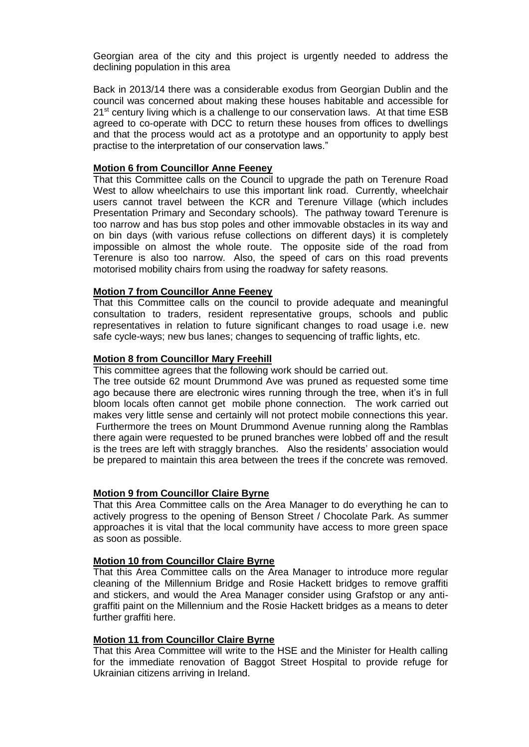Georgian area of the city and this project is urgently needed to address the declining population in this area

Back in 2013/14 there was a considerable exodus from Georgian Dublin and the council was concerned about making these houses habitable and accessible for  $21<sup>st</sup>$  century living which is a challenge to our conservation laws. At that time ESB agreed to co-operate with DCC to return these houses from offices to dwellings and that the process would act as a prototype and an opportunity to apply best practise to the interpretation of our conservation laws."

#### **Motion 6 from Councillor Anne Feeney**

That this Committee calls on the Council to upgrade the path on Terenure Road West to allow wheelchairs to use this important link road. Currently, wheelchair users cannot travel between the KCR and Terenure Village (which includes Presentation Primary and Secondary schools). The pathway toward Terenure is too narrow and has bus stop poles and other immovable obstacles in its way and on bin days (with various refuse collections on different days) it is completely impossible on almost the whole route. The opposite side of the road from Terenure is also too narrow. Also, the speed of cars on this road prevents motorised mobility chairs from using the roadway for safety reasons.

### **Motion 7 from Councillor Anne Feeney**

That this Committee calls on the council to provide adequate and meaningful consultation to traders, resident representative groups, schools and public representatives in relation to future significant changes to road usage i.e. new safe cycle-ways; new bus lanes; changes to sequencing of traffic lights, etc.

### **Motion 8 from Councillor Mary Freehill**

This committee agrees that the following work should be carried out.

The tree outside 62 mount Drummond Ave was pruned as requested some time ago because there are electronic wires running through the tree, when it's in full bloom locals often cannot get mobile phone connection. The work carried out makes very little sense and certainly will not protect mobile connections this year. Furthermore the trees on Mount Drummond Avenue running along the Ramblas there again were requested to be pruned branches were lobbed off and the result is the trees are left with straggly branches. Also the residents' association would be prepared to maintain this area between the trees if the concrete was removed.

# **Motion 9 from Councillor Claire Byrne**

That this Area Committee calls on the Area Manager to do everything he can to actively progress to the opening of Benson Street / Chocolate Park. As summer approaches it is vital that the local community have access to more green space as soon as possible.

# **Motion 10 from Councillor Claire Byrne**

That this Area Committee calls on the Area Manager to introduce more regular cleaning of the Millennium Bridge and Rosie Hackett bridges to remove graffiti and stickers, and would the Area Manager consider using Grafstop or any antigraffiti paint on the Millennium and the Rosie Hackett bridges as a means to deter further graffiti here.

#### **Motion 11 from Councillor Claire Byrne**

That this Area Committee will write to the HSE and the Minister for Health calling for the immediate renovation of Baggot Street Hospital to provide refuge for Ukrainian citizens arriving in Ireland.